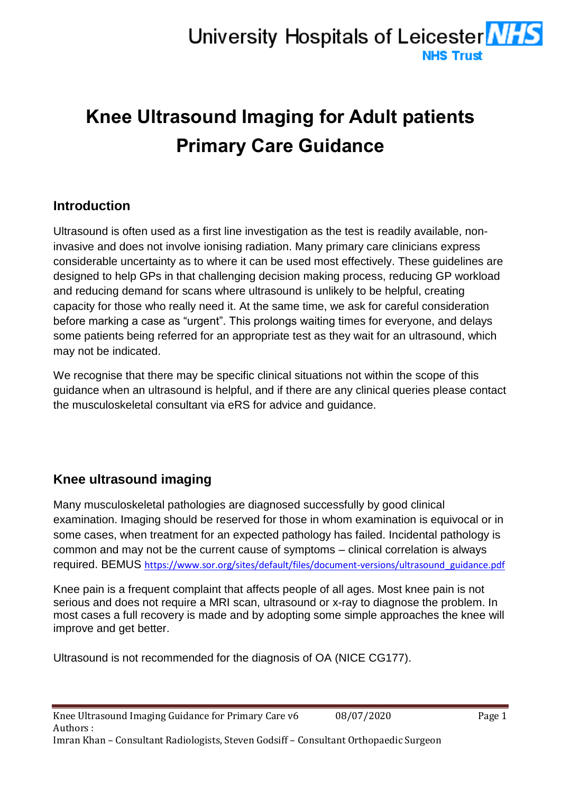# **Knee Ultrasound Imaging for Adult patients Primary Care Guidance**

# **Introduction**

Ultrasound is often used as a first line investigation as the test is readily available, noninvasive and does not involve ionising radiation. Many primary care clinicians express considerable uncertainty as to where it can be used most effectively. These guidelines are designed to help GPs in that challenging decision making process, reducing GP workload and reducing demand for scans where ultrasound is unlikely to be helpful, creating capacity for those who really need it. At the same time, we ask for careful consideration before marking a case as "urgent". This prolongs waiting times for everyone, and delays some patients being referred for an appropriate test as they wait for an ultrasound, which may not be indicated.

We recognise that there may be specific clinical situations not within the scope of this guidance when an ultrasound is helpful, and if there are any clinical queries please contact the musculoskeletal consultant via eRS for advice and guidance.

# **Knee ultrasound imaging**

Many musculoskeletal pathologies are diagnosed successfully by good clinical examination. Imaging should be reserved for those in whom examination is equivocal or in some cases, when treatment for an expected pathology has failed. Incidental pathology is common and may not be the current cause of symptoms – clinical correlation is always required. BEMUS [https://www.sor.org/sites/default/files/document-versions/ultrasound\\_guidance.pdf](https://www.sor.org/sites/default/files/document-versions/ultrasound_guidance.pdf)

Knee pain is a frequent complaint that affects people of all ages. Most knee pain is not serious and does not require a MRI scan, ultrasound or x-ray to diagnose the problem. In most cases a full recovery is made and by adopting some simple approaches the knee will improve and get better.

Ultrasound is not recommended for the diagnosis of OA (NICE CG177).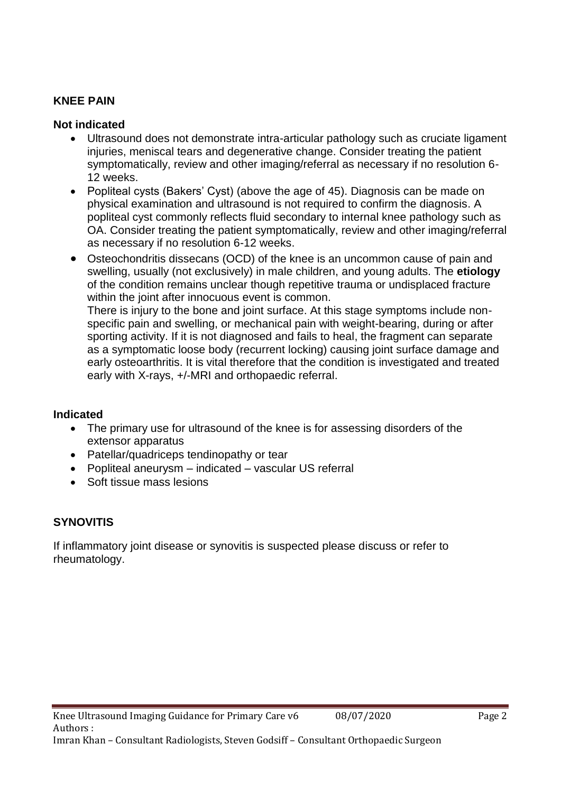## **KNEE PAIN**

## **Not indicated**

- Ultrasound does not demonstrate intra-articular pathology such as cruciate ligament injuries, meniscal tears and degenerative change. Consider treating the patient symptomatically, review and other imaging/referral as necessary if no resolution 6- 12 weeks.
- Popliteal cysts (Bakers' Cyst) (above the age of 45). Diagnosis can be made on physical examination and ultrasound is not required to confirm the diagnosis. A popliteal cyst commonly reflects fluid secondary to internal knee pathology such as OA. Consider treating the patient symptomatically, review and other imaging/referral as necessary if no resolution 6-12 weeks.
- Osteochondritis dissecans (OCD) of the knee is an uncommon cause of pain and swelling, usually (not exclusively) in male children, and young adults. The **etiology** of the condition remains unclear though repetitive trauma or undisplaced fracture within the joint after innocuous event is common.

There is injury to the bone and joint surface. At this stage symptoms include nonspecific pain and swelling, or mechanical pain with weight-bearing, during or after sporting activity. If it is not diagnosed and fails to heal, the fragment can separate as a symptomatic loose body (recurrent locking) causing joint surface damage and early osteoarthritis. It is vital therefore that the condition is investigated and treated early with X-rays, +/-MRI and orthopaedic referral.

#### **Indicated**

- The primary use for ultrasound of the knee is for assessing disorders of the extensor apparatus
- Patellar/quadriceps tendinopathy or tear
- Popliteal aneurysm indicated vascular US referral
- Soft tissue mass lesions

# **SYNOVITIS**

If inflammatory joint disease or synovitis is suspected please discuss or refer to rheumatology.